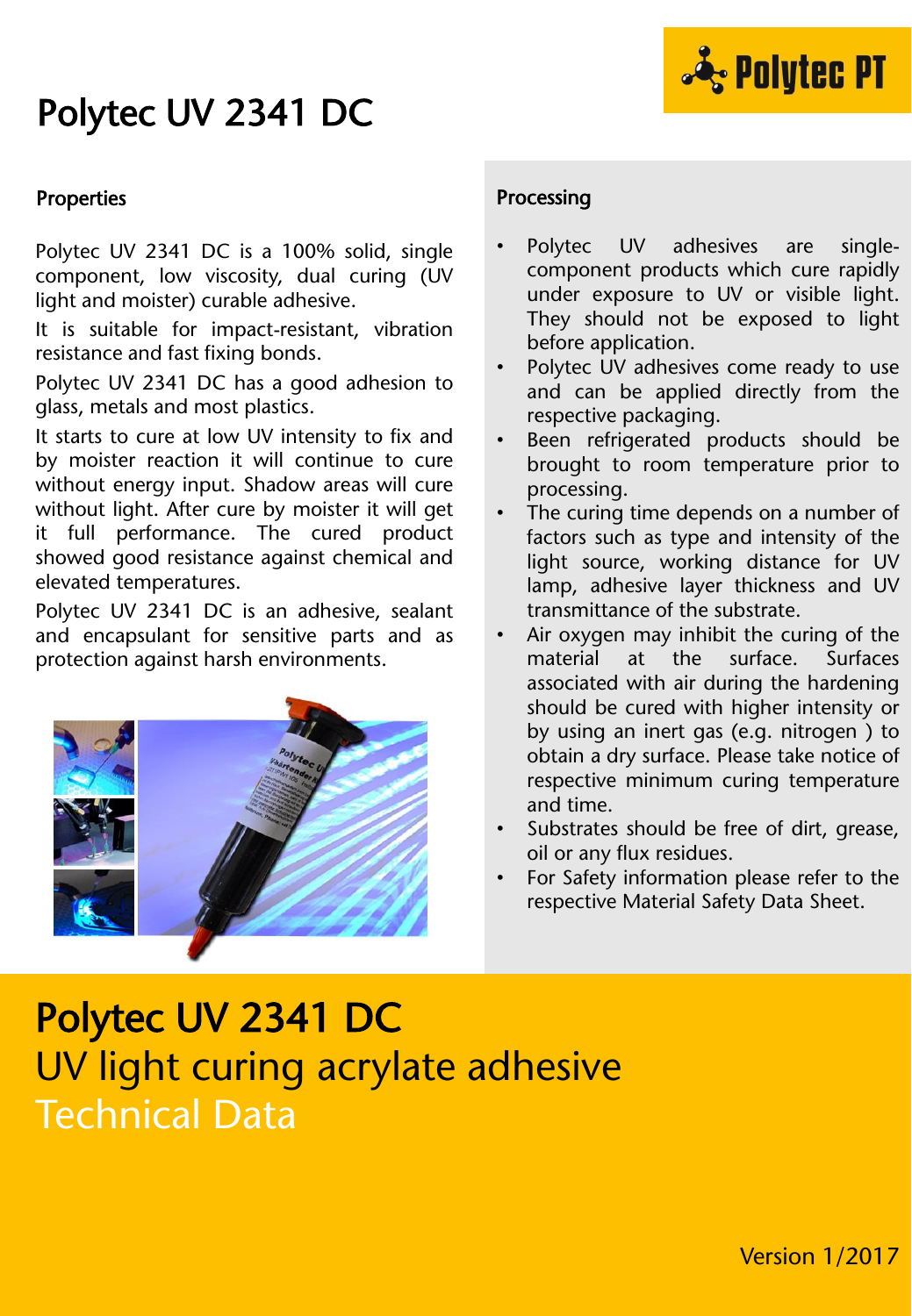### Polytec UV 2341 DC



#### Properties

Polytec UV 2341 DC is a 100% solid, single component, low viscosity, dual curing (UV light and moister) curable adhesive.

It is suitable for impact-resistant, vibration resistance and fast fixing bonds.

Polytec UV 2341 DC has a good adhesion to glass, metals and most plastics.

It starts to cure at low UV intensity to fix and by moister reaction it will continue to cure without energy input. Shadow areas will cure without light. After cure by moister it will get it full performance. The cured product showed good resistance against chemical and elevated temperatures.

Polytec UV 2341 DC is an adhesive, sealant and encapsulant for sensitive parts and as protection against harsh environments.



#### Processing

- Polytec UV adhesives are singlecomponent products which cure rapidly under exposure to UV or visible light. They should not be exposed to light before application.
- Polytec UV adhesives come ready to use and can be applied directly from the respective packaging.
- Been refrigerated products should be brought to room temperature prior to processing.
- The curing time depends on a number of factors such as type and intensity of the light source, working distance for UV lamp, adhesive layer thickness and UV transmittance of the substrate.
- Air oxygen may inhibit the curing of the material at the surface. Surfaces associated with air during the hardening should be cured with higher intensity or by using an inert gas (e.g. nitrogen ) to obtain a dry surface. Please take notice of respective minimum curing temperature and time.
- Substrates should be free of dirt, grease, oil or any flux residues.
- For Safety information please refer to the respective Material Safety Data Sheet.

# Polytec UV 2341 DC UV light curing acrylate adhesive Technical Data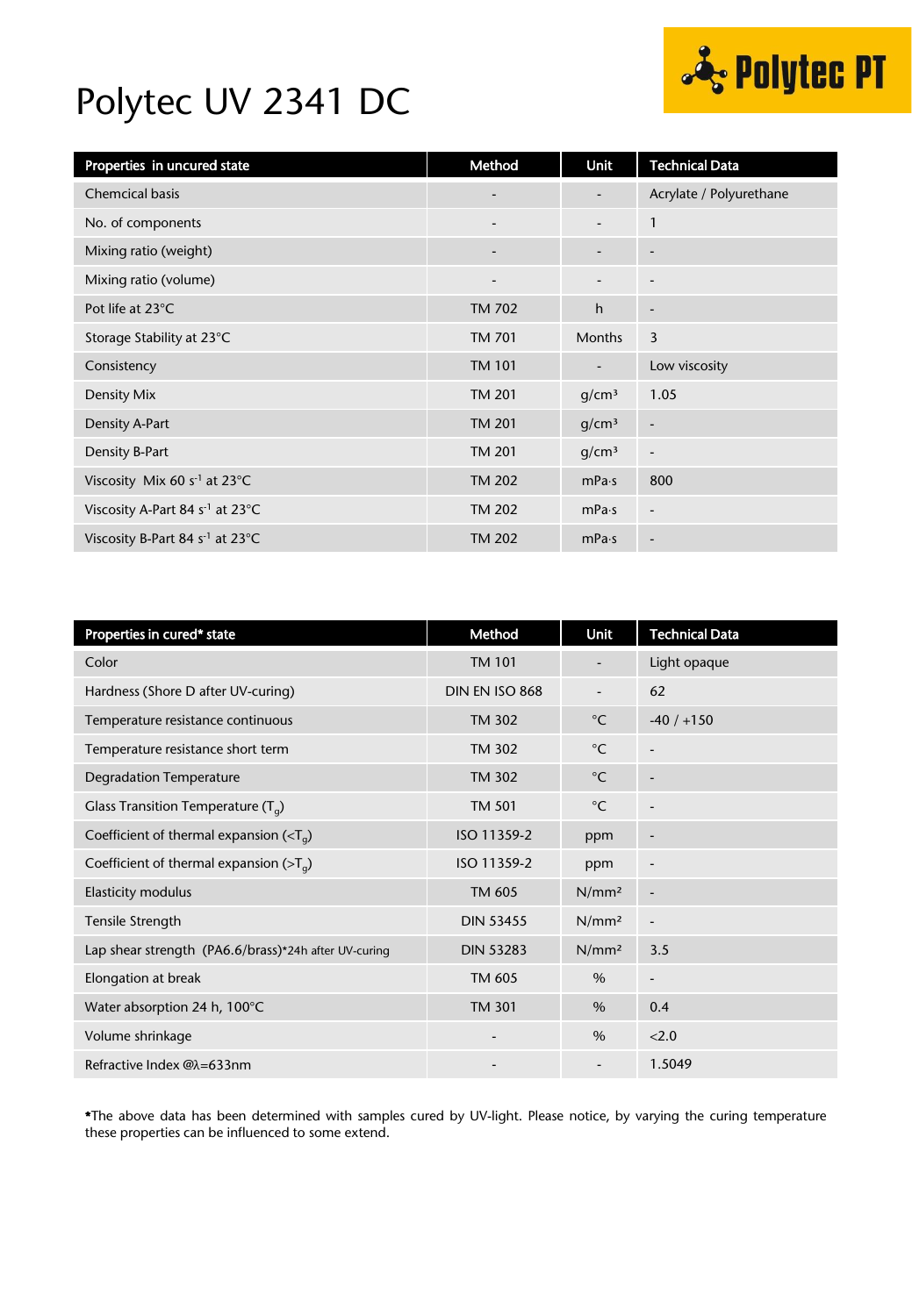

### Polytec UV 2341 DC

| Properties in uncured state                         | Method                   | Unit                         | <b>Technical Data</b>    |
|-----------------------------------------------------|--------------------------|------------------------------|--------------------------|
| <b>Chemcical basis</b>                              | $\overline{\phantom{a}}$ |                              | Acrylate / Polyurethane  |
| No. of components                                   | $\overline{\phantom{a}}$ | $\overline{\phantom{a}}$     | $\mathbf{1}$             |
| Mixing ratio (weight)                               | $\overline{\phantom{a}}$ | $\overline{\phantom{a}}$     | $\overline{\phantom{a}}$ |
| Mixing ratio (volume)                               | $\overline{\phantom{a}}$ | $\qquad \qquad \blacksquare$ | $\overline{\phantom{a}}$ |
| Pot life at 23°C                                    | TM 702                   | h                            | $\overline{\phantom{a}}$ |
| Storage Stability at 23°C                           | TM 701                   | <b>Months</b>                | 3                        |
| Consistency                                         | <b>TM 101</b>            | $\overline{\phantom{a}}$     | Low viscosity            |
| Density Mix                                         | <b>TM 201</b>            | g/cm <sup>3</sup>            | 1.05                     |
| Density A-Part                                      | <b>TM 201</b>            | g/cm <sup>3</sup>            | $\overline{\phantom{a}}$ |
| Density B-Part                                      | <b>TM 201</b>            | q/cm <sup>3</sup>            | $\overline{a}$           |
| Viscosity Mix 60 s <sup>-1</sup> at 23 $^{\circ}$ C | <b>TM 202</b>            | mPa·s                        | 800                      |
| Viscosity A-Part 84 s <sup>-1</sup> at 23°C         | <b>TM 202</b>            | mPa·s                        | $\overline{\phantom{a}}$ |
| Viscosity B-Part 84 s <sup>-1</sup> at 23°C         | <b>TM 202</b>            | mPa·s                        | $\overline{\phantom{a}}$ |

| Properties in cured* state                               | Method           | <b>Unit</b>              | <b>Technical Data</b>    |
|----------------------------------------------------------|------------------|--------------------------|--------------------------|
| Color                                                    | <b>TM 101</b>    |                          | Light opaque             |
| Hardness (Shore D after UV-curing)                       | DIN EN ISO 868   | $\overline{\phantom{a}}$ | 62                       |
| Temperature resistance continuous                        | <b>TM 302</b>    | $^{\circ}$ C             | $-40/ +150$              |
| Temperature resistance short term                        | <b>TM 302</b>    | $^{\circ}$ C             | $\overline{\phantom{a}}$ |
| <b>Degradation Temperature</b>                           | <b>TM 302</b>    | $^{\circ}$ C             |                          |
| Glass Transition Temperature $(T_q)$                     | <b>TM 501</b>    | $^{\circ}$ C             |                          |
| Coefficient of thermal expansion ( $\langle T_a \rangle$ | ISO 11359-2      | ppm                      | $\overline{\phantom{a}}$ |
| Coefficient of thermal expansion ( $>Ta$ )               | ISO 11359-2      | ppm                      | $\overline{a}$           |
| <b>Elasticity modulus</b>                                | TM 605           | N/mm <sup>2</sup>        | $\overline{\phantom{a}}$ |
| Tensile Strength                                         | <b>DIN 53455</b> | N/mm <sup>2</sup>        | -                        |
| Lap shear strength (PA6.6/brass)*24h after UV-curing     | <b>DIN 53283</b> | N/mm <sup>2</sup>        | 3.5                      |
| Elongation at break                                      | TM 605           | $\%$                     | $\overline{\phantom{a}}$ |
| Water absorption 24 h, 100°C                             | <b>TM 301</b>    | $\%$                     | 0.4                      |
| Volume shrinkage                                         |                  | $\%$                     | < 2.0                    |
| Refractive Index @λ=633nm                                |                  | $\overline{\phantom{a}}$ | 1.5049                   |

\*The above data has been determined with samples cured by UV-light. Please notice, by varying the curing temperature these properties can be influenced to some extend.